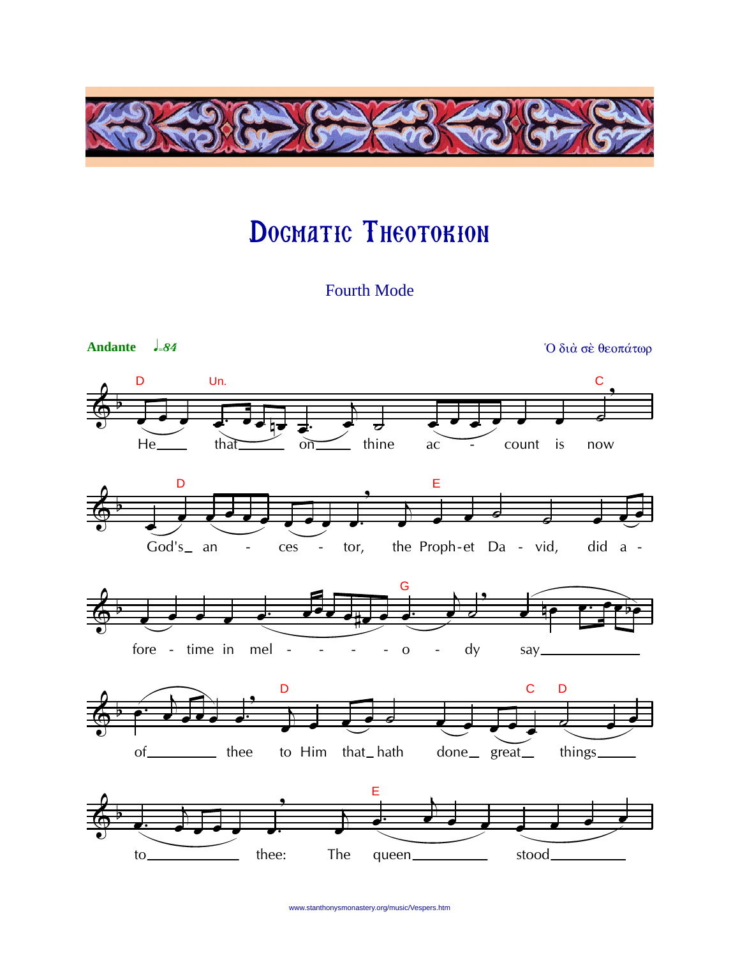

## DOGMATIC THEOTOKION

**Fourth Mode** 



www.stanthonysmonastery.org/music/Vespers.htm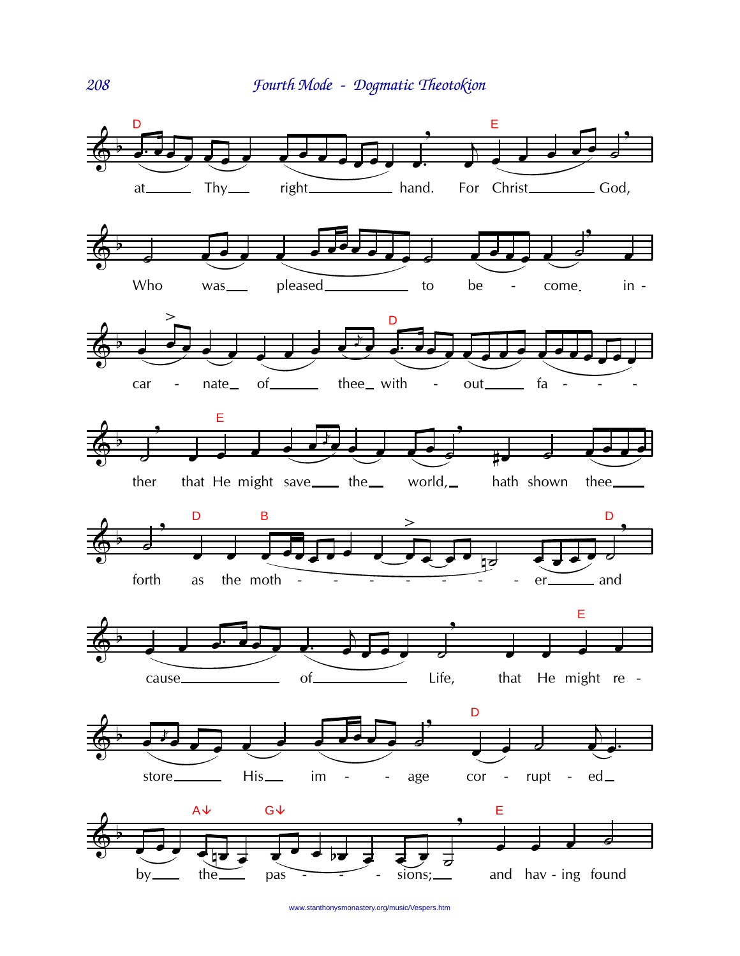

www.stanthonysmonastery.org/music/Vespers.htm